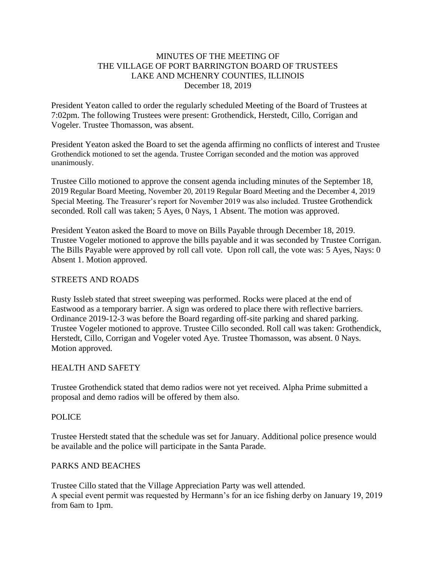### MINUTES OF THE MEETING OF THE VILLAGE OF PORT BARRINGTON BOARD OF TRUSTEES LAKE AND MCHENRY COUNTIES, ILLINOIS December 18, 2019

President Yeaton called to order the regularly scheduled Meeting of the Board of Trustees at 7:02pm. The following Trustees were present: Grothendick, Herstedt, Cillo, Corrigan and Vogeler. Trustee Thomasson, was absent.

President Yeaton asked the Board to set the agenda affirming no conflicts of interest and Trustee Grothendick motioned to set the agenda. Trustee Corrigan seconded and the motion was approved unanimously.

Trustee Cillo motioned to approve the consent agenda including minutes of the September 18, 2019 Regular Board Meeting, November 20, 20119 Regular Board Meeting and the December 4, 2019 Special Meeting. The Treasurer's report for November 2019 was also included. Trustee Grothendick seconded. Roll call was taken; 5 Ayes, 0 Nays, 1 Absent. The motion was approved.

President Yeaton asked the Board to move on Bills Payable through December 18, 2019. Trustee Vogeler motioned to approve the bills payable and it was seconded by Trustee Corrigan. The Bills Payable were approved by roll call vote. Upon roll call, the vote was: 5 Ayes, Nays: 0 Absent 1. Motion approved.

#### STREETS AND ROADS

Rusty Issleb stated that street sweeping was performed. Rocks were placed at the end of Eastwood as a temporary barrier. A sign was ordered to place there with reflective barriers. Ordinance 2019-12-3 was before the Board regarding off-site parking and shared parking. Trustee Vogeler motioned to approve. Trustee Cillo seconded. Roll call was taken: Grothendick, Herstedt, Cillo, Corrigan and Vogeler voted Aye. Trustee Thomasson, was absent. 0 Nays. Motion approved.

### HEALTH AND SAFETY

Trustee Grothendick stated that demo radios were not yet received. Alpha Prime submitted a proposal and demo radios will be offered by them also.

### POLICE

Trustee Herstedt stated that the schedule was set for January. Additional police presence would be available and the police will participate in the Santa Parade.

### PARKS AND BEACHES

Trustee Cillo stated that the Village Appreciation Party was well attended. A special event permit was requested by Hermann's for an ice fishing derby on January 19, 2019 from 6am to 1pm.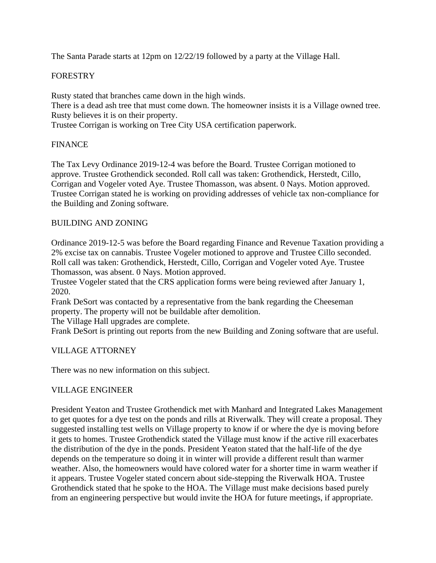The Santa Parade starts at 12pm on 12/22/19 followed by a party at the Village Hall.

# FORESTRY

Rusty stated that branches came down in the high winds. There is a dead ash tree that must come down. The homeowner insists it is a Village owned tree. Rusty believes it is on their property. Trustee Corrigan is working on Tree City USA certification paperwork.

## FINANCE

The Tax Levy Ordinance 2019-12-4 was before the Board. Trustee Corrigan motioned to approve. Trustee Grothendick seconded. Roll call was taken: Grothendick, Herstedt, Cillo, Corrigan and Vogeler voted Aye. Trustee Thomasson, was absent. 0 Nays. Motion approved. Trustee Corrigan stated he is working on providing addresses of vehicle tax non-compliance for the Building and Zoning software.

### BUILDING AND ZONING

Ordinance 2019-12-5 was before the Board regarding Finance and Revenue Taxation providing a 2% excise tax on cannabis. Trustee Vogeler motioned to approve and Trustee Cillo seconded. Roll call was taken: Grothendick, Herstedt, Cillo, Corrigan and Vogeler voted Aye. Trustee Thomasson, was absent. 0 Nays. Motion approved.

Trustee Vogeler stated that the CRS application forms were being reviewed after January 1, 2020.

Frank DeSort was contacted by a representative from the bank regarding the Cheeseman property. The property will not be buildable after demolition.

The Village Hall upgrades are complete.

Frank DeSort is printing out reports from the new Building and Zoning software that are useful.

### VILLAGE ATTORNEY

There was no new information on this subject.

### VILLAGE ENGINEER

President Yeaton and Trustee Grothendick met with Manhard and Integrated Lakes Management to get quotes for a dye test on the ponds and rills at Riverwalk. They will create a proposal. They suggested installing test wells on Village property to know if or where the dye is moving before it gets to homes. Trustee Grothendick stated the Village must know if the active rill exacerbates the distribution of the dye in the ponds. President Yeaton stated that the half-life of the dye depends on the temperature so doing it in winter will provide a different result than warmer weather. Also, the homeowners would have colored water for a shorter time in warm weather if it appears. Trustee Vogeler stated concern about side-stepping the Riverwalk HOA. Trustee Grothendick stated that he spoke to the HOA. The Village must make decisions based purely from an engineering perspective but would invite the HOA for future meetings, if appropriate.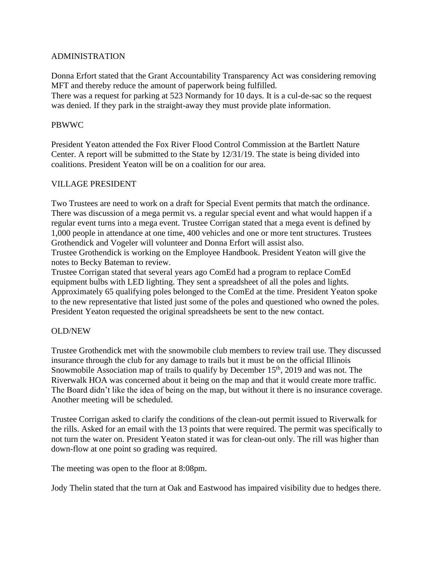### ADMINISTRATION

Donna Erfort stated that the Grant Accountability Transparency Act was considering removing MFT and thereby reduce the amount of paperwork being fulfilled.

There was a request for parking at 523 Normandy for 10 days. It is a cul-de-sac so the request was denied. If they park in the straight-away they must provide plate information.

### PBWWC

President Yeaton attended the Fox River Flood Control Commission at the Bartlett Nature Center. A report will be submitted to the State by 12/31/19. The state is being divided into coalitions. President Yeaton will be on a coalition for our area.

### VILLAGE PRESIDENT

Two Trustees are need to work on a draft for Special Event permits that match the ordinance. There was discussion of a mega permit vs. a regular special event and what would happen if a regular event turns into a mega event. Trustee Corrigan stated that a mega event is defined by 1,000 people in attendance at one time, 400 vehicles and one or more tent structures. Trustees Grothendick and Vogeler will volunteer and Donna Erfort will assist also.

Trustee Grothendick is working on the Employee Handbook. President Yeaton will give the notes to Becky Bateman to review.

Trustee Corrigan stated that several years ago ComEd had a program to replace ComEd equipment bulbs with LED lighting. They sent a spreadsheet of all the poles and lights. Approximately 65 qualifying poles belonged to the ComEd at the time. President Yeaton spoke to the new representative that listed just some of the poles and questioned who owned the poles. President Yeaton requested the original spreadsheets be sent to the new contact.

### OLD/NEW

Trustee Grothendick met with the snowmobile club members to review trail use. They discussed insurance through the club for any damage to trails but it must be on the official Illinois Snowmobile Association map of trails to qualify by December  $15<sup>th</sup>$ , 2019 and was not. The Riverwalk HOA was concerned about it being on the map and that it would create more traffic. The Board didn't like the idea of being on the map, but without it there is no insurance coverage. Another meeting will be scheduled.

Trustee Corrigan asked to clarify the conditions of the clean-out permit issued to Riverwalk for the rills. Asked for an email with the 13 points that were required. The permit was specifically to not turn the water on. President Yeaton stated it was for clean-out only. The rill was higher than down-flow at one point so grading was required.

The meeting was open to the floor at 8:08pm.

Jody Thelin stated that the turn at Oak and Eastwood has impaired visibility due to hedges there.